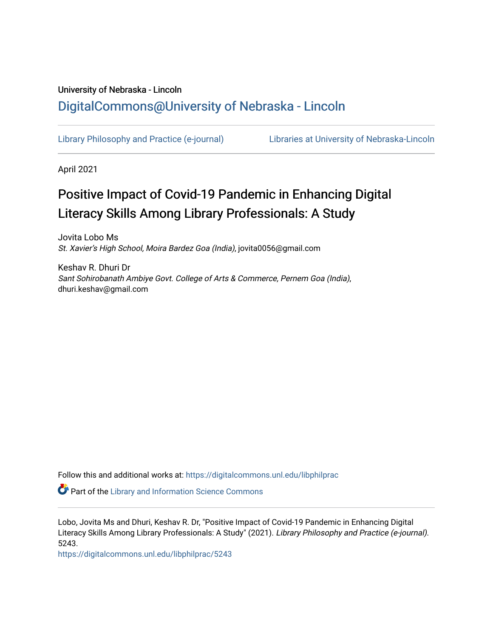# University of Nebraska - Lincoln [DigitalCommons@University of Nebraska - Lincoln](https://digitalcommons.unl.edu/)

[Library Philosophy and Practice \(e-journal\)](https://digitalcommons.unl.edu/libphilprac) [Libraries at University of Nebraska-Lincoln](https://digitalcommons.unl.edu/libraries) 

April 2021

# Positive Impact of Covid-19 Pandemic in Enhancing Digital Literacy Skills Among Library Professionals: A Study

Jovita Lobo Ms St. Xavier's High School, Moira Bardez Goa (India), jovita0056@gmail.com

Keshav R. Dhuri Dr Sant Sohirobanath Ambiye Govt. College of Arts & Commerce, Pernem Goa (India), dhuri.keshav@gmail.com

Follow this and additional works at: [https://digitalcommons.unl.edu/libphilprac](https://digitalcommons.unl.edu/libphilprac?utm_source=digitalcommons.unl.edu%2Flibphilprac%2F5243&utm_medium=PDF&utm_campaign=PDFCoverPages) 

**Part of the Library and Information Science Commons** 

Lobo, Jovita Ms and Dhuri, Keshav R. Dr, "Positive Impact of Covid-19 Pandemic in Enhancing Digital Literacy Skills Among Library Professionals: A Study" (2021). Library Philosophy and Practice (e-journal). 5243.

[https://digitalcommons.unl.edu/libphilprac/5243](https://digitalcommons.unl.edu/libphilprac/5243?utm_source=digitalcommons.unl.edu%2Flibphilprac%2F5243&utm_medium=PDF&utm_campaign=PDFCoverPages)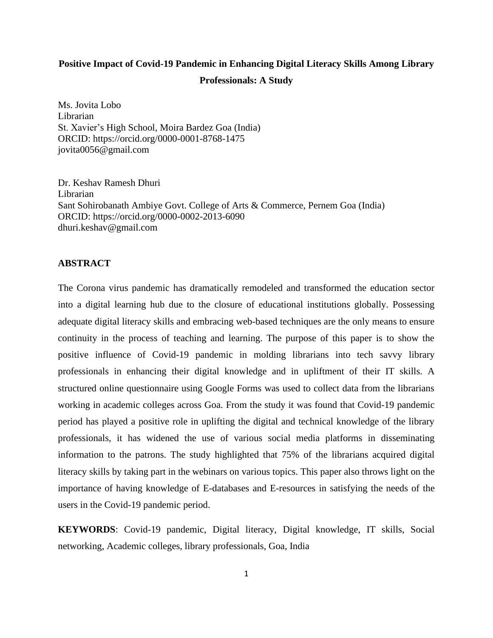# **Positive Impact of Covid-19 Pandemic in Enhancing Digital Literacy Skills Among Library Professionals: A Study**

Ms. Jovita Lobo Librarian St. Xavier's High School, Moira Bardez Goa (India) ORCID:<https://orcid.org/0000-0001-8768-1475> jovita0056@gmail.com

Dr. Keshav Ramesh Dhuri Librarian Sant Sohirobanath Ambiye Govt. College of Arts & Commerce, Pernem Goa (India) ORCID:<https://orcid.org/0000-0002-2013-6090> dhuri.keshav@gmail.com

## **ABSTRACT**

The Corona virus pandemic has dramatically remodeled and transformed the education sector into a digital learning hub due to the closure of educational institutions globally. Possessing adequate digital literacy skills and embracing web-based techniques are the only means to ensure continuity in the process of teaching and learning. The purpose of this paper is to show the positive influence of Covid-19 pandemic in molding librarians into tech savvy library professionals in enhancing their digital knowledge and in upliftment of their IT skills. A structured online questionnaire using Google Forms was used to collect data from the librarians working in academic colleges across Goa. From the study it was found that Covid-19 pandemic period has played a positive role in uplifting the digital and technical knowledge of the library professionals, it has widened the use of various social media platforms in disseminating information to the patrons. The study highlighted that 75% of the librarians acquired digital literacy skills by taking part in the webinars on various topics. This paper also throws light on the importance of having knowledge of E-databases and E-resources in satisfying the needs of the users in the Covid-19 pandemic period.

**KEYWORDS**: Covid-19 pandemic, Digital literacy, Digital knowledge, IT skills, Social networking, Academic colleges, library professionals, Goa, India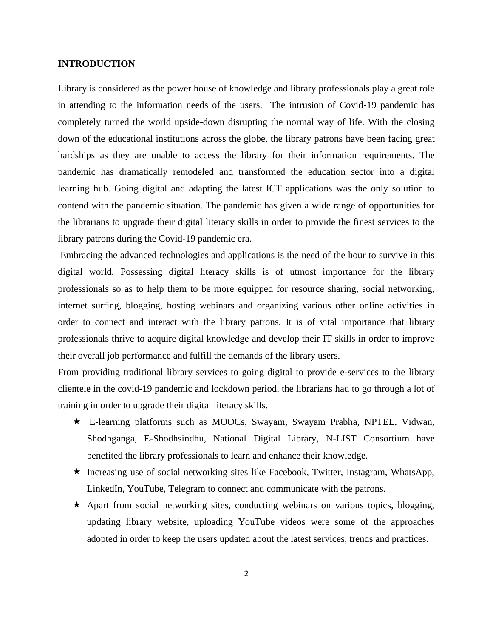## **INTRODUCTION**

Library is considered as the power house of knowledge and library professionals play a great role in attending to the information needs of the users. The intrusion of Covid-19 pandemic has completely turned the world upside-down disrupting the normal way of life. With the closing down of the educational institutions across the globe, the library patrons have been facing great hardships as they are unable to access the library for their information requirements. The pandemic has dramatically remodeled and transformed the education sector into a digital learning hub. Going digital and adapting the latest ICT applications was the only solution to contend with the pandemic situation. The pandemic has given a wide range of opportunities for the librarians to upgrade their digital literacy skills in order to provide the finest services to the library patrons during the Covid-19 pandemic era.

Embracing the advanced technologies and applications is the need of the hour to survive in this digital world. Possessing digital literacy skills is of utmost importance for the library professionals so as to help them to be more equipped for resource sharing, social networking, internet surfing, blogging, hosting webinars and organizing various other online activities in order to connect and interact with the library patrons. It is of vital importance that library professionals thrive to acquire digital knowledge and develop their IT skills in order to improve their overall job performance and fulfill the demands of the library users.

From providing traditional library services to going digital to provide e-services to the library clientele in the covid-19 pandemic and lockdown period, the librarians had to go through a lot of training in order to upgrade their digital literacy skills.

- E-learning platforms such as MOOCs, Swayam, Swayam Prabha, NPTEL, Vidwan, Shodhganga, E-Shodhsindhu, National Digital Library, N-LIST Consortium have benefited the library professionals to learn and enhance their knowledge.
- $\star$  Increasing use of social networking sites like Facebook, Twitter, Instagram, WhatsApp, LinkedIn, YouTube, Telegram to connect and communicate with the patrons.
- $\star$  Apart from social networking sites, conducting webinars on various topics, blogging, updating library website, uploading YouTube videos were some of the approaches adopted in order to keep the users updated about the latest services, trends and practices.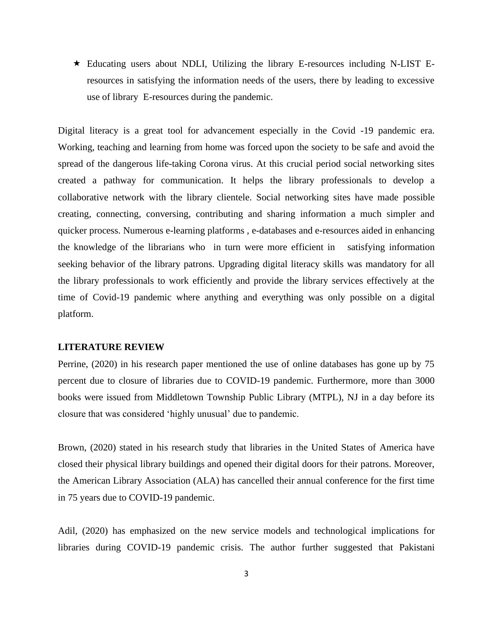$\star$  Educating users about NDLI, Utilizing the library E-resources including N-LIST Eresources in satisfying the information needs of the users, there by leading to excessive use of library E-resources during the pandemic.

Digital literacy is a great tool for advancement especially in the Covid -19 pandemic era. Working, teaching and learning from home was forced upon the society to be safe and avoid the spread of the dangerous life-taking Corona virus. At this crucial period social networking sites created a pathway for communication. It helps the library professionals to develop a collaborative network with the library clientele. Social networking sites have made possible creating, connecting, conversing, contributing and sharing information a much simpler and quicker process. Numerous e-learning platforms , e-databases and e-resources aided in enhancing the knowledge of the librarians who in turn were more efficient in satisfying information seeking behavior of the library patrons. Upgrading digital literacy skills was mandatory for all the library professionals to work efficiently and provide the library services effectively at the time of Covid-19 pandemic where anything and everything was only possible on a digital platform.

#### **LITERATURE REVIEW**

Perrine, (2020) in his research paper mentioned the use of online databases has gone up by 75 percent due to closure of libraries due to COVID-19 pandemic. Furthermore, more than 3000 books were issued from Middletown Township Public Library (MTPL), NJ in a day before its closure that was considered 'highly unusual' due to pandemic.

Brown, (2020) stated in his research study that libraries in the United States of America have closed their physical library buildings and opened their digital doors for their patrons. Moreover, the American Library Association (ALA) has cancelled their annual conference for the first time in 75 years due to COVID-19 pandemic.

Adil, (2020) has emphasized on the new service models and technological implications for libraries during COVID-19 pandemic crisis. The author further suggested that Pakistani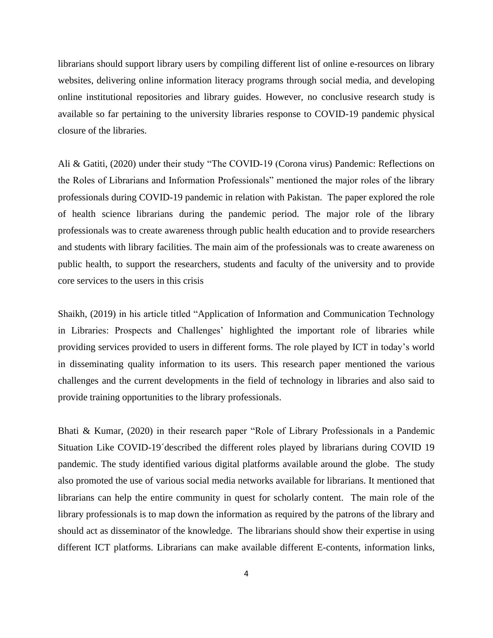librarians should support library users by compiling different list of online e-resources on library websites, delivering online information literacy programs through social media, and developing online institutional repositories and library guides. However, no conclusive research study is available so far pertaining to the university libraries response to COVID-19 pandemic physical closure of the libraries.

Ali & Gatiti, (2020) under their study "The COVID‐19 (Corona virus) Pandemic: Reflections on the Roles of Librarians and Information Professionals" mentioned the major roles of the library professionals during COVID-19 pandemic in relation with Pakistan. The paper explored the role of health science librarians during the pandemic period. The major role of the library professionals was to create awareness through public health education and to provide researchers and students with library facilities. The main aim of the professionals was to create awareness on public health, to support the researchers, students and faculty of the university and to provide core services to the users in this crisis

Shaikh, (2019) in his article titled "Application of Information and Communication Technology in Libraries: Prospects and Challenges' highlighted the important role of libraries while providing services provided to users in different forms. The role played by ICT in today's world in disseminating quality information to its users. This research paper mentioned the various challenges and the current developments in the field of technology in libraries and also said to provide training opportunities to the library professionals.

Bhati & Kumar, (2020) in their research paper "Role of Library Professionals in a Pandemic Situation Like COVID-19´described the different roles played by librarians during COVID 19 pandemic. The study identified various digital platforms available around the globe. The study also promoted the use of various social media networks available for librarians. It mentioned that librarians can help the entire community in quest for scholarly content. The main role of the library professionals is to map down the information as required by the patrons of the library and should act as disseminator of the knowledge. The librarians should show their expertise in using different ICT platforms. Librarians can make available different E-contents, information links,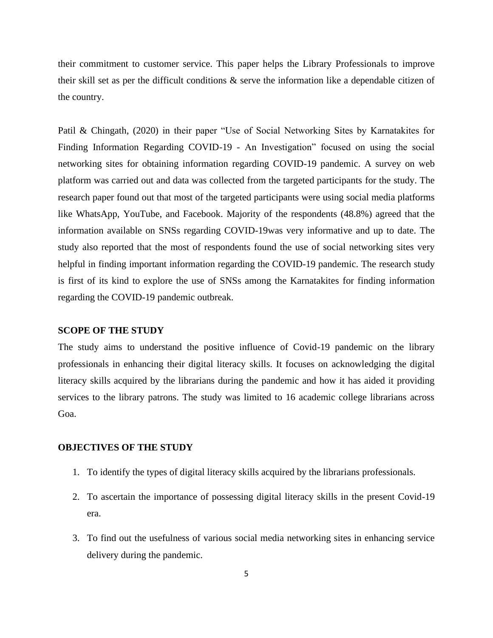their commitment to customer service. This paper helps the Library Professionals to improve their skill set as per the difficult conditions & serve the information like a dependable citizen of the country.

Patil & Chingath, (2020) in their paper "Use of Social Networking Sites by Karnatakites for Finding Information Regarding COVID-19 - An Investigation" focused on using the social networking sites for obtaining information regarding COVID-19 pandemic. A survey on web platform was carried out and data was collected from the targeted participants for the study. The research paper found out that most of the targeted participants were using social media platforms like WhatsApp, YouTube, and Facebook. Majority of the respondents (48.8%) agreed that the information available on SNSs regarding COVID-19was very informative and up to date. The study also reported that the most of respondents found the use of social networking sites very helpful in finding important information regarding the COVID-19 pandemic. The research study is first of its kind to explore the use of SNSs among the Karnatakites for finding information regarding the COVID-19 pandemic outbreak.

### **SCOPE OF THE STUDY**

The study aims to understand the positive influence of Covid-19 pandemic on the library professionals in enhancing their digital literacy skills. It focuses on acknowledging the digital literacy skills acquired by the librarians during the pandemic and how it has aided it providing services to the library patrons. The study was limited to 16 academic college librarians across Goa.

## **OBJECTIVES OF THE STUDY**

- 1. To identify the types of digital literacy skills acquired by the librarians professionals.
- 2. To ascertain the importance of possessing digital literacy skills in the present Covid-19 era.
- 3. To find out the usefulness of various social media networking sites in enhancing service delivery during the pandemic.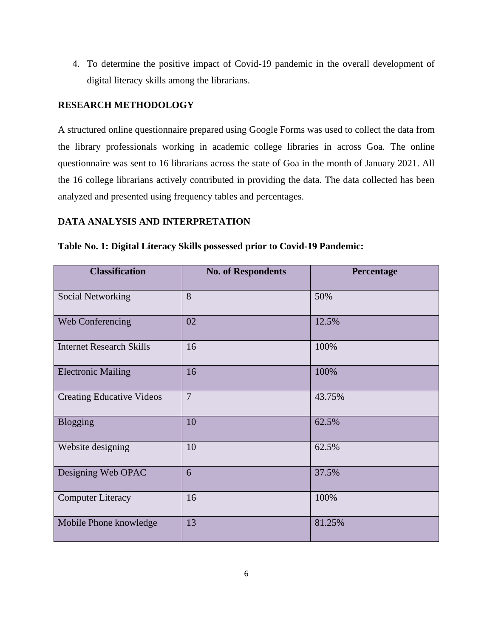4. To determine the positive impact of Covid-19 pandemic in the overall development of digital literacy skills among the librarians.

# **RESEARCH METHODOLOGY**

A structured online questionnaire prepared using Google Forms was used to collect the data from the library professionals working in academic college libraries in across Goa. The online questionnaire was sent to 16 librarians across the state of Goa in the month of January 2021. All the 16 college librarians actively contributed in providing the data. The data collected has been analyzed and presented using frequency tables and percentages.

# **DATA ANALYSIS AND INTERPRETATION**

| <b>Classification</b>            | <b>No. of Respondents</b> | Percentage |  |
|----------------------------------|---------------------------|------------|--|
| Social Networking                | 8                         | 50%        |  |
| Web Conferencing                 | 02                        | 12.5%      |  |
| <b>Internet Research Skills</b>  | 16                        | 100%       |  |
| <b>Electronic Mailing</b>        | 16                        | 100%       |  |
| <b>Creating Educative Videos</b> | $\overline{7}$            | 43.75%     |  |
| <b>Blogging</b>                  | 10                        | 62.5%      |  |
| Website designing                | 10                        | 62.5%      |  |
| Designing Web OPAC               | 6                         | 37.5%      |  |
| <b>Computer Literacy</b>         | 16                        | 100%       |  |
| Mobile Phone knowledge           | 13                        | 81.25%     |  |

**Table No. 1: Digital Literacy Skills possessed prior to Covid-19 Pandemic:**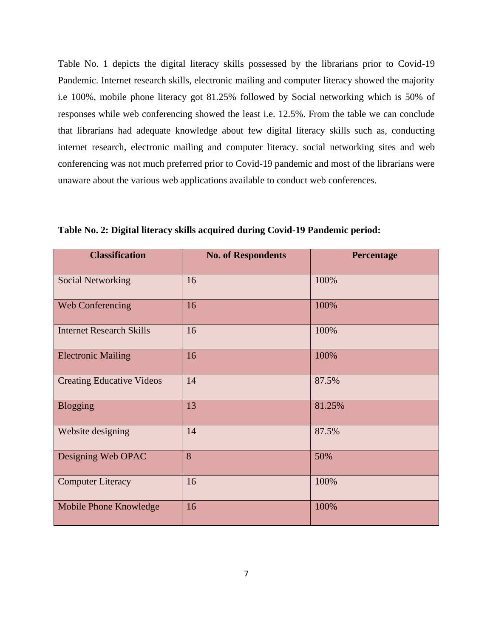Table No. 1 depicts the digital literacy skills possessed by the librarians prior to Covid-19 Pandemic. Internet research skills, electronic mailing and computer literacy showed the majority i.e 100%, mobile phone literacy got 81.25% followed by Social networking which is 50% of responses while web conferencing showed the least i.e. 12.5%. From the table we can conclude that librarians had adequate knowledge about few digital literacy skills such as, conducting internet research, electronic mailing and computer literacy. social networking sites and web conferencing was not much preferred prior to Covid-19 pandemic and most of the librarians were unaware about the various web applications available to conduct web conferences.

| <b>Classification</b>            | <b>No. of Respondents</b> | Percentage |
|----------------------------------|---------------------------|------------|
| <b>Social Networking</b>         | 16                        | 100%       |
| <b>Web Conferencing</b>          | 16                        | 100%       |
| <b>Internet Research Skills</b>  | 16                        | 100%       |
| <b>Electronic Mailing</b>        | 16                        | 100%       |
| <b>Creating Educative Videos</b> | 14                        | 87.5%      |
| <b>Blogging</b>                  | 13                        | 81.25%     |
| Website designing                | 14                        | 87.5%      |
| Designing Web OPAC               | 8                         | 50%        |
| <b>Computer Literacy</b>         | 16                        | 100%       |
| Mobile Phone Knowledge           | 16                        | 100%       |

**Table No. 2: Digital literacy skills acquired during Covid-19 Pandemic period:**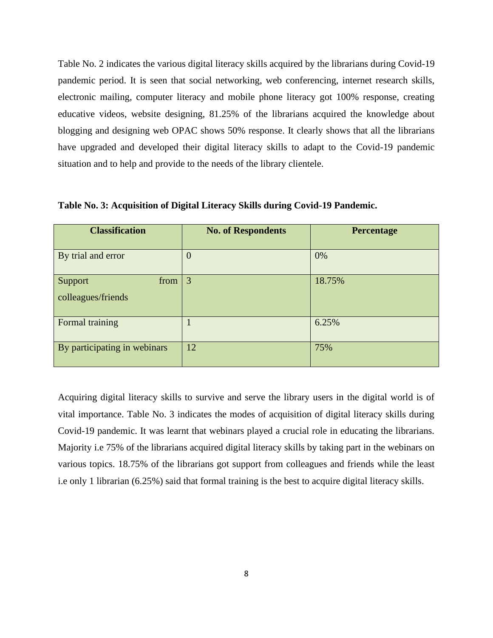Table No. 2 indicates the various digital literacy skills acquired by the librarians during Covid-19 pandemic period. It is seen that social networking, web conferencing, internet research skills, electronic mailing, computer literacy and mobile phone literacy got 100% response, creating educative videos, website designing, 81.25% of the librarians acquired the knowledge about blogging and designing web OPAC shows 50% response. It clearly shows that all the librarians have upgraded and developed their digital literacy skills to adapt to the Covid-19 pandemic situation and to help and provide to the needs of the library clientele.

| <b>Classification</b>                 | <b>No. of Respondents</b> | Percentage |
|---------------------------------------|---------------------------|------------|
| By trial and error                    | $\overline{0}$            | 0%         |
| from<br>Support<br>colleagues/friends | $\overline{3}$            | 18.75%     |
| Formal training                       |                           | 6.25%      |
| By participating in webinars          | 12                        | 75%        |

**Table No. 3: Acquisition of Digital Literacy Skills during Covid-19 Pandemic.** 

Acquiring digital literacy skills to survive and serve the library users in the digital world is of vital importance. Table No. 3 indicates the modes of acquisition of digital literacy skills during Covid-19 pandemic. It was learnt that webinars played a crucial role in educating the librarians. Majority i.e 75% of the librarians acquired digital literacy skills by taking part in the webinars on various topics. 18.75% of the librarians got support from colleagues and friends while the least i.e only 1 librarian (6.25%) said that formal training is the best to acquire digital literacy skills.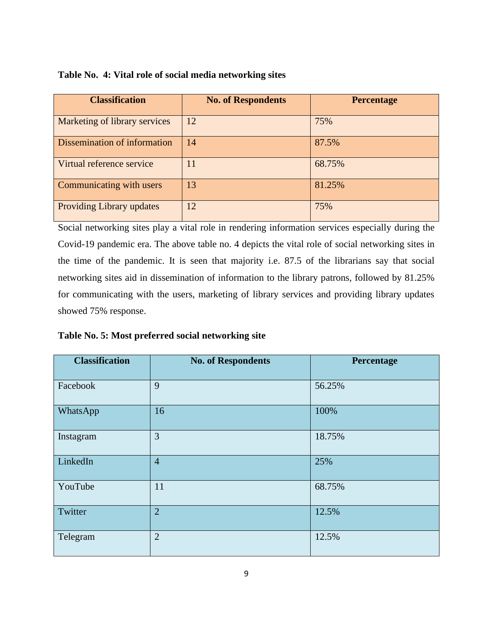| <b>Classification</b>            | <b>No. of Respondents</b> | <b>Percentage</b> |
|----------------------------------|---------------------------|-------------------|
| Marketing of library services    | 12                        | 75%               |
| Dissemination of information     | -14                       | 87.5%             |
| Virtual reference service        | 11                        | 68.75%            |
| Communicating with users         | 13                        | 81.25%            |
| <b>Providing Library updates</b> | 12                        | 75%               |

**Table No. 4: Vital role of social media networking sites**

Social networking sites play a vital role in rendering information services especially during the Covid-19 pandemic era. The above table no. 4 depicts the vital role of social networking sites in the time of the pandemic. It is seen that majority i.e. 87.5 of the librarians say that social networking sites aid in dissemination of information to the library patrons, followed by 81.25% for communicating with the users, marketing of library services and providing library updates showed 75% response.

**Table No. 5: Most preferred social networking site** 

| <b>Classification</b> | <b>No. of Respondents</b> | Percentage |
|-----------------------|---------------------------|------------|
| Facebook              | 9                         | 56.25%     |
| WhatsApp              | 16                        | 100%       |
| Instagram             | 3                         | 18.75%     |
| LinkedIn              | $\overline{4}$            | 25%        |
| YouTube               | 11                        | 68.75%     |
| Twitter               | $\overline{2}$            | 12.5%      |
| Telegram              | $\overline{2}$            | 12.5%      |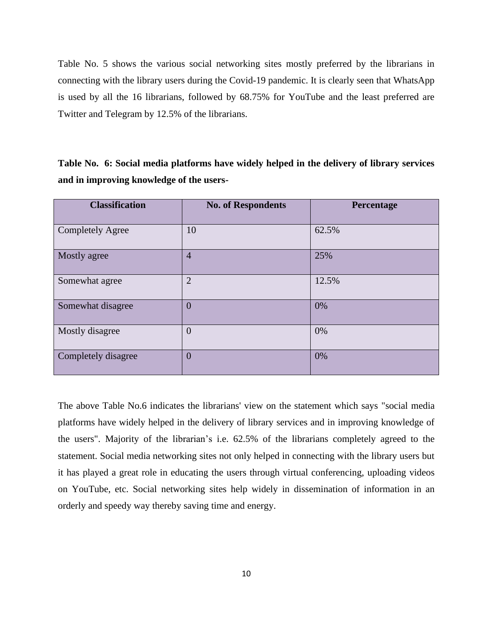Table No. 5 shows the various social networking sites mostly preferred by the librarians in connecting with the library users during the Covid-19 pandemic. It is clearly seen that WhatsApp is used by all the 16 librarians, followed by 68.75% for YouTube and the least preferred are Twitter and Telegram by 12.5% of the librarians.

**Table No. 6: Social media platforms have widely helped in the delivery of library services and in improving knowledge of the users-**

| <b>Classification</b>   | <b>No. of Respondents</b> | Percentage |
|-------------------------|---------------------------|------------|
| <b>Completely Agree</b> | 10                        | 62.5%      |
| Mostly agree            | $\overline{4}$            | 25%        |
| Somewhat agree          | $\overline{2}$            | 12.5%      |
| Somewhat disagree       | $\overline{0}$            | 0%         |
| Mostly disagree         | $\overline{0}$            | 0%         |
| Completely disagree     | $\boldsymbol{0}$          | 0%         |

The above Table No.6 indicates the librarians' view on the statement which says "social media platforms have widely helped in the delivery of library services and in improving knowledge of the users". Majority of the librarian's i.e. 62.5% of the librarians completely agreed to the statement. Social media networking sites not only helped in connecting with the library users but it has played a great role in educating the users through virtual conferencing, uploading videos on YouTube, etc. Social networking sites help widely in dissemination of information in an orderly and speedy way thereby saving time and energy.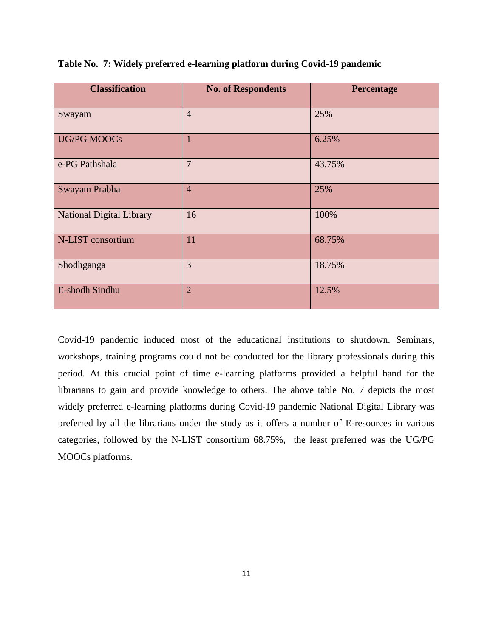| <b>Classification</b>           | <b>No. of Respondents</b> | Percentage |
|---------------------------------|---------------------------|------------|
| Swayam                          | $\overline{4}$            | 25%        |
| <b>UG/PG MOOCs</b>              | $\overline{1}$            | 6.25%      |
| e-PG Pathshala                  | $\overline{7}$            | 43.75%     |
| Swayam Prabha                   | $\overline{4}$            | 25%        |
| <b>National Digital Library</b> | 16                        | 100%       |
| N-LIST consortium               | 11                        | 68.75%     |
| Shodhganga                      | 3                         | 18.75%     |
| E-shodh Sindhu                  | $\overline{2}$            | 12.5%      |

**Table No. 7: Widely preferred e-learning platform during Covid-19 pandemic**

Covid-19 pandemic induced most of the educational institutions to shutdown. Seminars, workshops, training programs could not be conducted for the library professionals during this period. At this crucial point of time e-learning platforms provided a helpful hand for the librarians to gain and provide knowledge to others. The above table No. 7 depicts the most widely preferred e-learning platforms during Covid-19 pandemic National Digital Library was preferred by all the librarians under the study as it offers a number of E-resources in various categories, followed by the N-LIST consortium 68.75%, the least preferred was the UG/PG MOOCs platforms.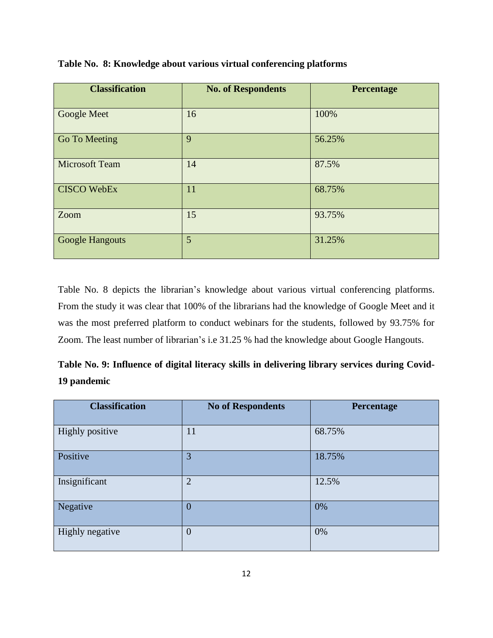| <b>Classification</b>  | <b>No. of Respondents</b> | <b>Percentage</b> |
|------------------------|---------------------------|-------------------|
| <b>Google Meet</b>     | 16                        | 100%              |
| Go To Meeting          | 9                         | 56.25%            |
| <b>Microsoft Team</b>  | 14                        | 87.5%             |
| <b>CISCO WebEx</b>     | 11                        | 68.75%            |
| Zoom                   | 15                        | 93.75%            |
| <b>Google Hangouts</b> | 5                         | 31.25%            |

**Table No. 8: Knowledge about various virtual conferencing platforms**

Table No. 8 depicts the librarian's knowledge about various virtual conferencing platforms. From the study it was clear that 100% of the librarians had the knowledge of Google Meet and it was the most preferred platform to conduct webinars for the students, followed by 93.75% for Zoom. The least number of librarian's i.e 31.25 % had the knowledge about Google Hangouts.

| Table No. 9: Influence of digital literacy skills in delivering library services during Covid- |  |  |
|------------------------------------------------------------------------------------------------|--|--|
| 19 pandemic                                                                                    |  |  |

| <b>Classification</b> | <b>No of Respondents</b> | Percentage |
|-----------------------|--------------------------|------------|
| Highly positive       | 11                       | 68.75%     |
| Positive              | 3                        | 18.75%     |
| Insignificant         | $\overline{2}$           | 12.5%      |
| Negative              | $\overline{0}$           | 0%         |
| Highly negative       | $\overline{0}$           | 0%         |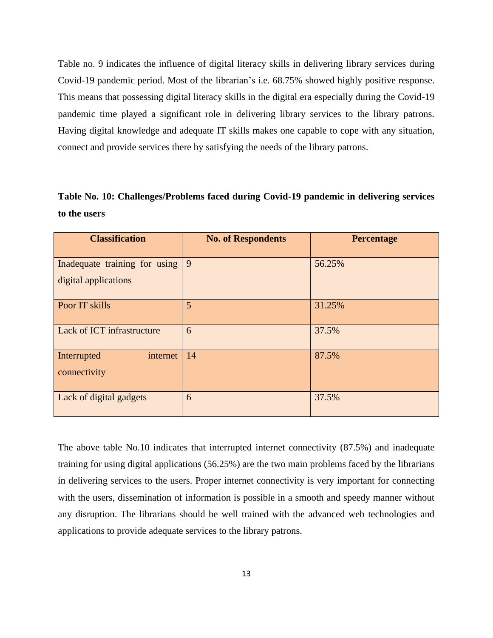Table no. 9 indicates the influence of digital literacy skills in delivering library services during Covid-19 pandemic period. Most of the librarian's i.e. 68.75% showed highly positive response. This means that possessing digital literacy skills in the digital era especially during the Covid-19 pandemic time played a significant role in delivering library services to the library patrons. Having digital knowledge and adequate IT skills makes one capable to cope with any situation, connect and provide services there by satisfying the needs of the library patrons.

# **Table No. 10: Challenges/Problems faced during Covid-19 pandemic in delivering services to the users**

| <b>Classification</b>                                 | <b>No. of Respondents</b> | <b>Percentage</b> |
|-------------------------------------------------------|---------------------------|-------------------|
| Inadequate training for using<br>digital applications | 9                         | 56.25%            |
| Poor IT skills                                        | 5                         | 31.25%            |
| Lack of ICT infrastructure                            | 6                         | 37.5%             |
| internet<br>Interrupted<br>connectivity               | 14                        | 87.5%             |
| Lack of digital gadgets                               | 6                         | 37.5%             |

The above table No.10 indicates that interrupted internet connectivity (87.5%) and inadequate training for using digital applications (56.25%) are the two main problems faced by the librarians in delivering services to the users. Proper internet connectivity is very important for connecting with the users, dissemination of information is possible in a smooth and speedy manner without any disruption. The librarians should be well trained with the advanced web technologies and applications to provide adequate services to the library patrons.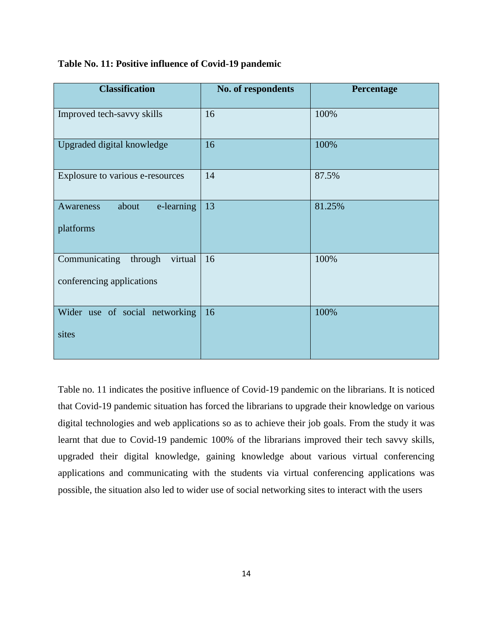| <b>Classification</b>                                            | No. of respondents | Percentage |
|------------------------------------------------------------------|--------------------|------------|
| Improved tech-savvy skills                                       | 16                 | 100%       |
| Upgraded digital knowledge                                       | 16                 | 100%       |
| Explosure to various e-resources                                 | 14                 | 87.5%      |
| e-learning<br>about<br>Awareness<br>platforms                    | 13                 | 81.25%     |
| Communicating<br>through<br>virtual<br>conferencing applications | 16                 | 100%       |
| Wider use of social networking<br>sites                          | 16                 | 100%       |

#### **Table No. 11: Positive influence of Covid-19 pandemic**

Table no. 11 indicates the positive influence of Covid-19 pandemic on the librarians. It is noticed that Covid-19 pandemic situation has forced the librarians to upgrade their knowledge on various digital technologies and web applications so as to achieve their job goals. From the study it was learnt that due to Covid-19 pandemic 100% of the librarians improved their tech savvy skills, upgraded their digital knowledge, gaining knowledge about various virtual conferencing applications and communicating with the students via virtual conferencing applications was possible, the situation also led to wider use of social networking sites to interact with the users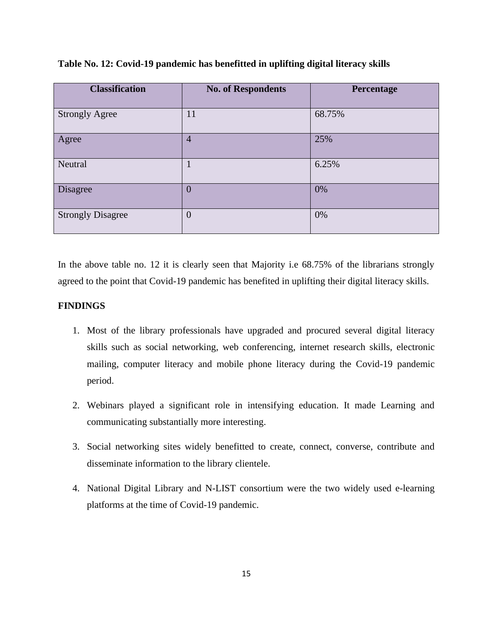| <b>Classification</b>    | <b>No. of Respondents</b> | Percentage |
|--------------------------|---------------------------|------------|
| <b>Strongly Agree</b>    | 11                        | 68.75%     |
| Agree                    | $\overline{4}$            | 25%        |
| Neutral                  | $\mathbf{1}$              | 6.25%      |
| Disagree                 | $\overline{0}$            | 0%         |
| <b>Strongly Disagree</b> | $\boldsymbol{0}$          | 0%         |

| Table No. 12: Covid-19 pandemic has benefitted in uplifting digital literacy skills |  |  |  |
|-------------------------------------------------------------------------------------|--|--|--|
|                                                                                     |  |  |  |

In the above table no. 12 it is clearly seen that Majority i.e 68.75% of the librarians strongly agreed to the point that Covid-19 pandemic has benefited in uplifting their digital literacy skills.

# **FINDINGS**

- 1. Most of the library professionals have upgraded and procured several digital literacy skills such as social networking, web conferencing, internet research skills, electronic mailing, computer literacy and mobile phone literacy during the Covid-19 pandemic period.
- 2. Webinars played a significant role in intensifying education. It made Learning and communicating substantially more interesting.
- 3. Social networking sites widely benefitted to create, connect, converse, contribute and disseminate information to the library clientele.
- 4. National Digital Library and N-LIST consortium were the two widely used e-learning platforms at the time of Covid-19 pandemic.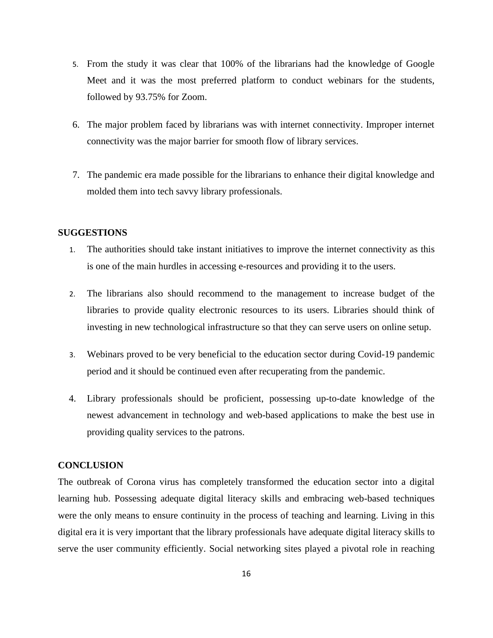- 5. From the study it was clear that 100% of the librarians had the knowledge of Google Meet and it was the most preferred platform to conduct webinars for the students, followed by 93.75% for Zoom.
- 6. The major problem faced by librarians was with internet connectivity. Improper internet connectivity was the major barrier for smooth flow of library services.
- 7. The pandemic era made possible for the librarians to enhance their digital knowledge and molded them into tech savvy library professionals.

### **SUGGESTIONS**

- 1. The authorities should take instant initiatives to improve the internet connectivity as this is one of the main hurdles in accessing e-resources and providing it to the users.
- 2. The librarians also should recommend to the management to increase budget of the libraries to provide quality electronic resources to its users. Libraries should think of investing in new technological infrastructure so that they can serve users on online setup.
- 3. Webinars proved to be very beneficial to the education sector during Covid-19 pandemic period and it should be continued even after recuperating from the pandemic.
- 4. Library professionals should be proficient, possessing up-to-date knowledge of the newest advancement in technology and web-based applications to make the best use in providing quality services to the patrons.

# **CONCLUSION**

The outbreak of Corona virus has completely transformed the education sector into a digital learning hub. Possessing adequate digital literacy skills and embracing web-based techniques were the only means to ensure continuity in the process of teaching and learning. Living in this digital era it is very important that the library professionals have adequate digital literacy skills to serve the user community efficiently. Social networking sites played a pivotal role in reaching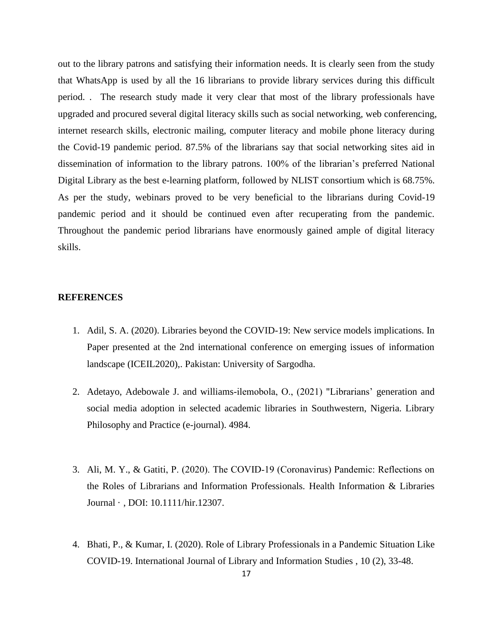out to the library patrons and satisfying their information needs. It is clearly seen from the study that WhatsApp is used by all the 16 librarians to provide library services during this difficult period. . The research study made it very clear that most of the library professionals have upgraded and procured several digital literacy skills such as social networking, web conferencing, internet research skills, electronic mailing, computer literacy and mobile phone literacy during the Covid-19 pandemic period. 87.5% of the librarians say that social networking sites aid in dissemination of information to the library patrons. 100% of the librarian's preferred National Digital Library as the best e-learning platform, followed by NLIST consortium which is 68.75%. As per the study, webinars proved to be very beneficial to the librarians during Covid-19 pandemic period and it should be continued even after recuperating from the pandemic. Throughout the pandemic period librarians have enormously gained ample of digital literacy skills.

### **REFERENCES**

- 1. Adil, S. A. (2020). Libraries beyond the COVID-19: New service models implications. In Paper presented at the 2nd international conference on emerging issues of information landscape (ICEIL2020),. Pakistan: University of Sargodha.
- 2. Adetayo, Adebowale J. and williams-ilemobola, O., (2021) "Librarians' generation and social media adoption in selected academic libraries in Southwestern, Nigeria. Library Philosophy and Practice (e-journal). 4984.
- 3. Ali, M. Y., & Gatiti, P. (2020). The COVID‐19 (Coronavirus) Pandemic: Reflections on the Roles of Librarians and Information Professionals. Health Information & Libraries Journal · , DOI: 10.1111/hir.12307.
- 4. Bhati, P., & Kumar, I. (2020). Role of Library Professionals in a Pandemic Situation Like COVID-19. International Journal of Library and Information Studies , 10 (2), 33-48.